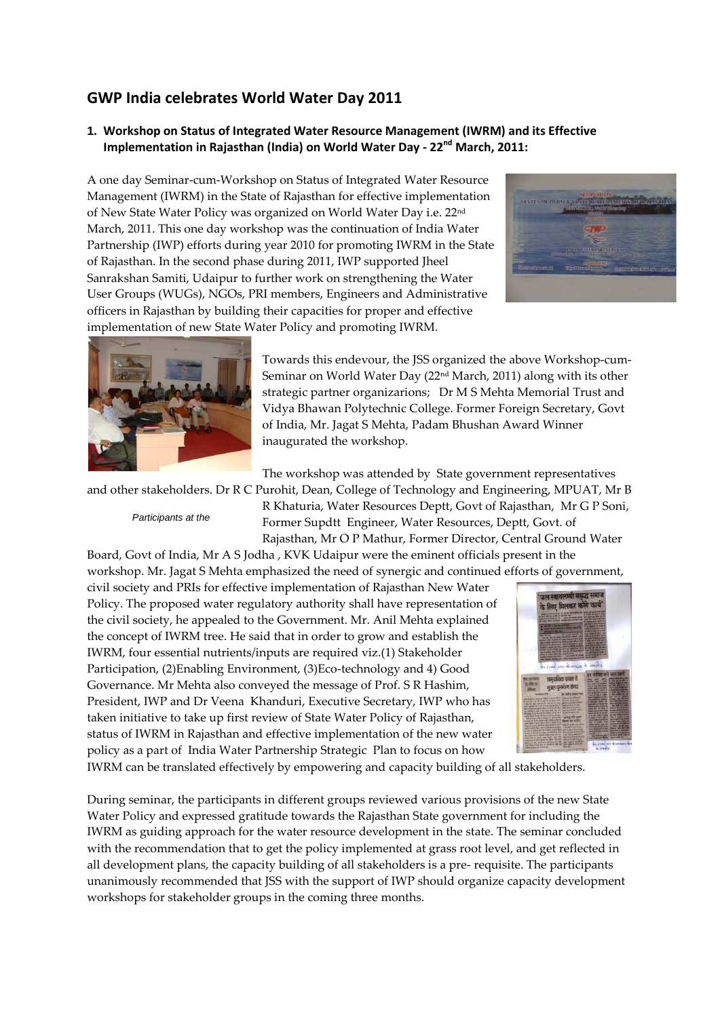## **GWP India celebrates World Water Day 2011**

## **1. Workshop on Status of Integrated Water Resource Management (IWRM) and its Effective Implementation in Rajasthan (India) on World Water Day - 22nd March, 2011:**

A one day Seminar-cum-Workshop on Status of Integrated Water Resource Management (IWRM) in the State of Rajasthan for effective implementation of New State Water Policy was organized on World Water Day i.e. 22nd March, 2011. This one day workshop was the continuation of India Water Partnership (IWP) efforts during year 2010 for promoting IWRM in the State of Rajasthan. In the second phase during 2011, IWP supported Jheel Sanrakshan Samiti, Udaipur to further work on strengthening the Water User Groups (WUGs), NGOs, PRI members, Engineers and Administrative officers in Rajasthan by building their capacities for proper and effective implementation of new State Water Policy and promoting IWRM.





Towards this endevour, the JSS organized the above Workshop-cum-Seminar on World Water Day (22nd March, 2011) along with its other strategic partner organizarions; Dr M S Mehta Memorial Trust and Vidya Bhawan Polytechnic College. Former Foreign Secretary, Govt of India, Mr. Jagat S Mehta, Padam Bhushan Award Winner inaugurated the workshop.

The workshop was attended by State government representatives

and other stakeholders. Dr R C Purohit, Dean, College of Technology and Engineering, MPUAT, Mr B

*Participants at the* 

R Khaturia, Water Resources Deptt, Govt of Rajasthan, Mr G P Soni, Former Supdtt Engineer, Water Resources, Deptt, Govt. of Rajasthan, Mr O P Mathur, Former Director, Central Ground Water Board, Govt of India, Mr A S Jodha , KVK Udaipur were the eminent officials present in the

workshop. Mr. Jagat S Mehta emphasized the need of synergic and continued efforts of government,

civil society and PRIs for effective implementation of Rajasthan New Water Policy. The proposed water regulatory authority shall have representation of the civil society, he appealed to the Government. Mr. Anil Mehta explained the concept of IWRM tree. He said that in order to grow and establish the IWRM, four essential nutrients/inputs are required viz.(1) Stakeholder Participation, (2)Enabling Environment, (3)Eco-technology and 4) Good Governance. Mr Mehta also conveyed the message of Prof. S R Hashim, President, IWP and Dr Veena Khanduri, Executive Secretary, IWP who has taken initiative to take up first review of State Water Policy of Rajasthan, status of IWRM in Rajasthan and effective implementation of the new water policy as a part of India Water Partnership Strategic Plan to focus on how



IWRM can be translated effectively by empowering and capacity building of all stakeholders.

During seminar, the participants in different groups reviewed various provisions of the new State Water Policy and expressed gratitude towards the Rajasthan State government for including the IWRM as guiding approach for the water resource development in the state. The seminar concluded with the recommendation that to get the policy implemented at grass root level, and get reflected in all development plans, the capacity building of all stakeholders is a pre- requisite. The participants unanimously recommended that JSS with the support of IWP should organize capacity development workshops for stakeholder groups in the coming three months.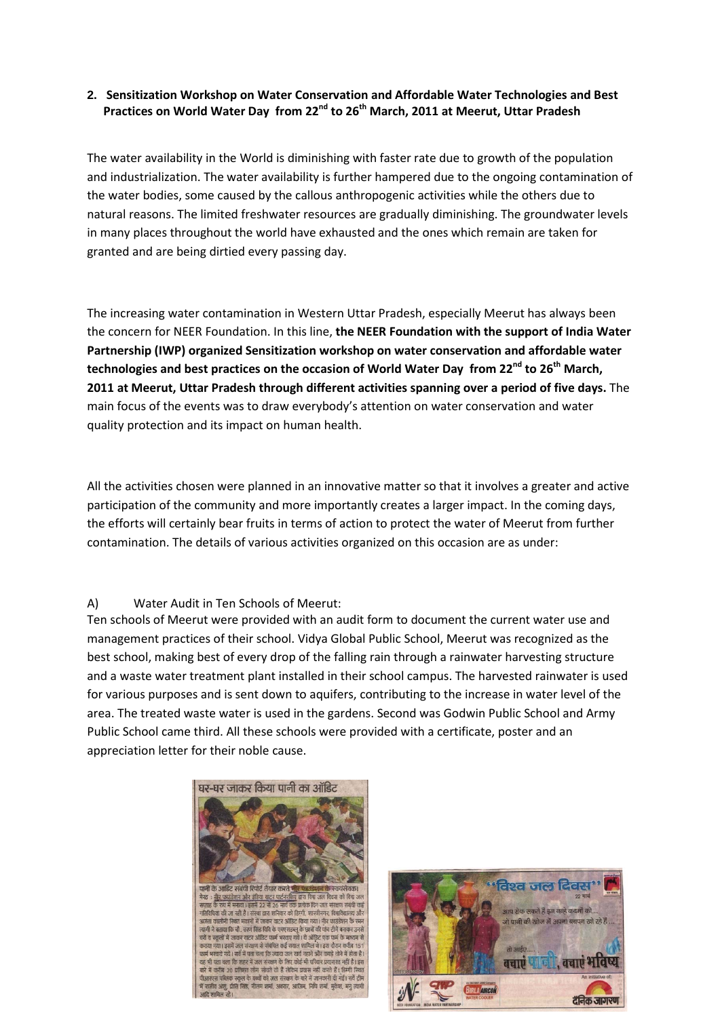## **2. Sensitization Workshop on Water Conservation and Affordable Water Technologies and Best Practices on World Water Day from 22nd to 26th March, 2011 at Meerut, Uttar Pradesh**

The water availability in the World is diminishing with faster rate due to growth of the population and industrialization. The water availability is further hampered due to the ongoing contamination of the water bodies, some caused by the callous anthropogenic activities while the others due to natural reasons. The limited freshwater resources are gradually diminishing. The groundwater levels in many places throughout the world have exhausted and the ones which remain are taken for granted and are being dirtied every passing day.

The increasing water contamination in Western Uttar Pradesh, especially Meerut has always been the concern for NEER Foundation. In this line, **the NEER Foundation with the support of India Water Partnership (IWP) organized Sensitization workshop on water conservation and affordable water technologies and best practices on the occasion of World Water Day from 22nd to 26th March, 2011 at Meerut, Uttar Pradesh through different activities spanning over a period of five days.** The main focus of the events was to draw everybody's attention on water conservation and water quality protection and its impact on human health.

All the activities chosen were planned in an innovative matter so that it involves a greater and active participation of the community and more importantly creates a larger impact. In the coming days, the efforts will certainly bear fruits in terms of action to protect the water of Meerut from further contamination. The details of various activities organized on this occasion are as under:

## A) Water Audit in Ten Schools of Meerut:

Ten schools of Meerut were provided with an audit form to document the current water use and management practices of their school. Vidya Global Public School, Meerut was recognized as the best school, making best of every drop of the falling rain through a rainwater harvesting structure and a waste water treatment plant installed in their school campus. The harvested rainwater is used for various purposes and is sent down to aquifers, contributing to the increase in water level of the area. The treated waste water is used in the gardens. Second was Godwin Public School and Army Public School came third. All these schools were provided with a certificate, poster and an appreciation letter for their noble cause.



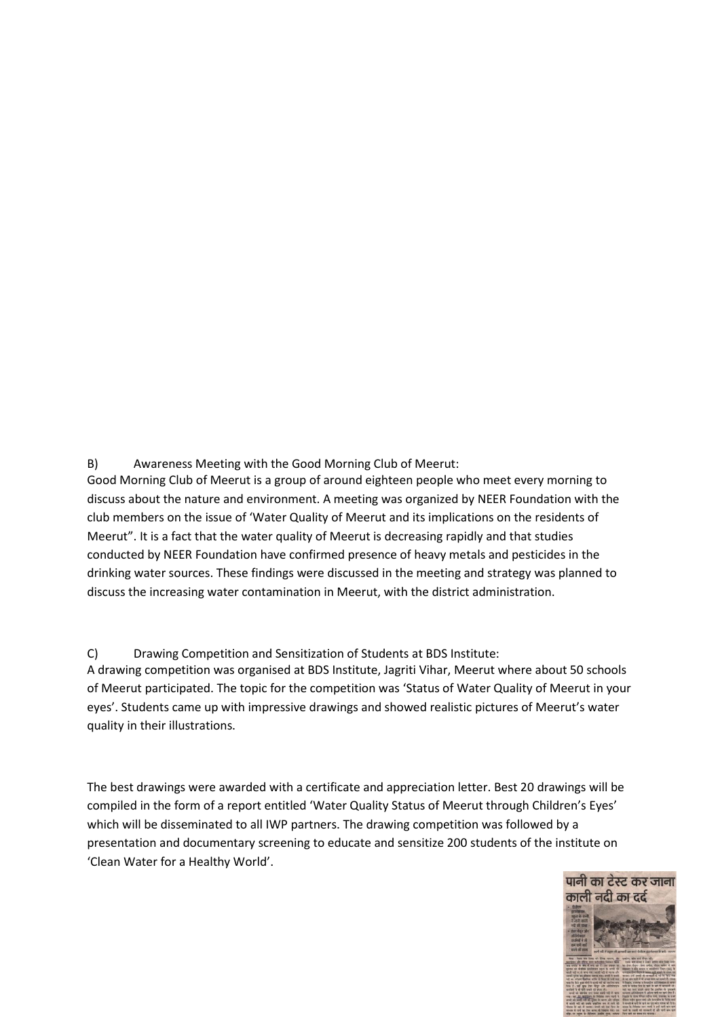B) Awareness Meeting with the Good Morning Club of Meerut:

Good Morning Club of Meerut is a group of around eighteen people who meet every morning to discuss about the nature and environment. A meeting was organized by NEER Foundation with the club members on the issue of 'Water Quality of Meerut and its implications on the residents of Meerut". It is a fact that the water quality of Meerut is decreasing rapidly and that studies conducted by NEER Foundation have confirmed presence of heavy metals and pesticides in the drinking water sources. These findings were discussed in the meeting and strategy was planned to discuss the increasing water contamination in Meerut, with the district administration.

C) Drawing Competition and Sensitization of Students at BDS Institute: A drawing competition was organised at BDS Institute, Jagriti Vihar, Meerut where about 50 schools of Meerut participated. The topic for the competition was 'Status of Water Quality of Meerut in your eyes'. Students came up with impressive drawings and showed realistic pictures of Meerut's water quality in their illustrations.

The best drawings were awarded with a certificate and appreciation letter. Best 20 drawings will be compiled in the form of a report entitled 'Water Quality Status of Meerut through Children's Eyes' which will be disseminated to all IWP partners. The drawing competition was followed by a presentation and documentary screening to educate and sensitize 200 students of the institute on 'Clean Water for a Healthy World'.

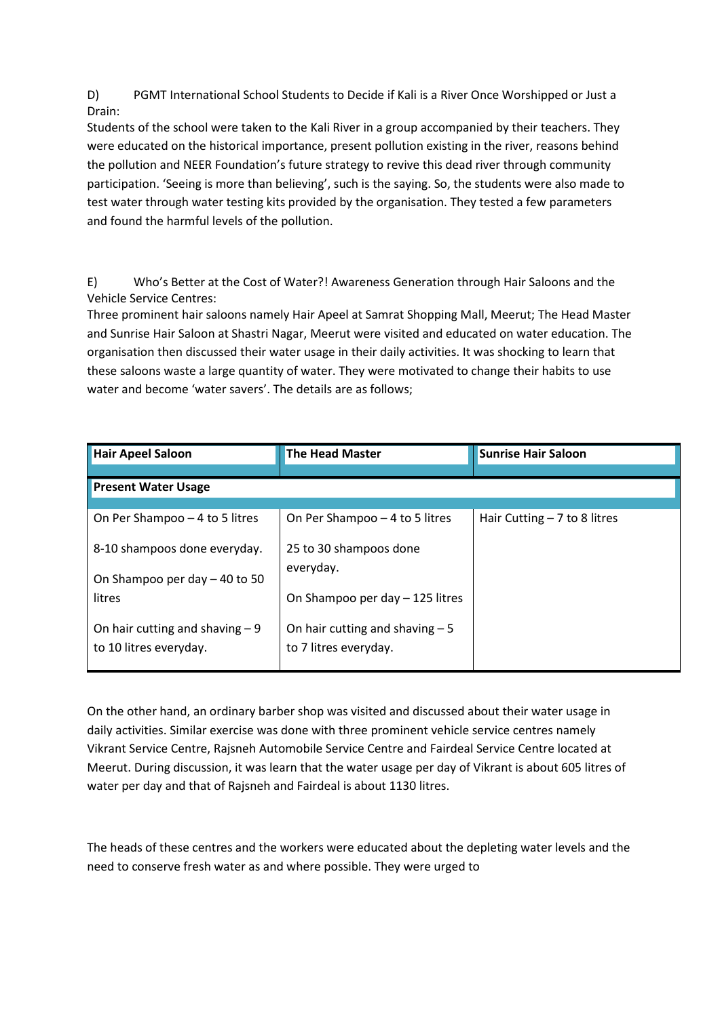D) PGMT International School Students to Decide if Kali is a River Once Worshipped or Just a Drain:

Students of the school were taken to the Kali River in a group accompanied by their teachers. They were educated on the historical importance, present pollution existing in the river, reasons behind the pollution and NEER Foundation's future strategy to revive this dead river through community participation. 'Seeing is more than believing', such is the saying. So, the students were also made to test water through water testing kits provided by the organisation. They tested a few parameters and found the harmful levels of the pollution.

E) Who's Better at the Cost of Water?! Awareness Generation through Hair Saloons and the Vehicle Service Centres:

Three prominent hair saloons namely Hair Apeel at Samrat Shopping Mall, Meerut; The Head Master and Sunrise Hair Saloon at Shastri Nagar, Meerut were visited and educated on water education. The organisation then discussed their water usage in their daily activities. It was shocking to learn that these saloons waste a large quantity of water. They were motivated to change their habits to use water and become 'water savers'. The details are as follows;

| <b>Hair Apeel Saloon</b>                                   | <b>The Head Master</b>                                    | <b>Sunrise Hair Saloon</b>    |
|------------------------------------------------------------|-----------------------------------------------------------|-------------------------------|
|                                                            |                                                           |                               |
| <b>Present Water Usage</b>                                 |                                                           |                               |
|                                                            |                                                           |                               |
| On Per Shampoo - 4 to 5 litres                             | On Per Shampoo - 4 to 5 litres                            | Hair Cutting $-7$ to 8 litres |
| 8-10 shampoos done everyday.                               | 25 to 30 shampoos done                                    |                               |
| On Shampoo per day - 40 to 50                              | everyday.                                                 |                               |
| litres                                                     | On Shampoo per day - 125 litres                           |                               |
| On hair cutting and shaving $-9$<br>to 10 litres everyday. | On hair cutting and shaving $-5$<br>to 7 litres everyday. |                               |

On the other hand, an ordinary barber shop was visited and discussed about their water usage in daily activities. Similar exercise was done with three prominent vehicle service centres namely Vikrant Service Centre, Rajsneh Automobile Service Centre and Fairdeal Service Centre located at Meerut. During discussion, it was learn that the water usage per day of Vikrant is about 605 litres of water per day and that of Rajsneh and Fairdeal is about 1130 litres.

The heads of these centres and the workers were educated about the depleting water levels and the need to conserve fresh water as and where possible. They were urged to